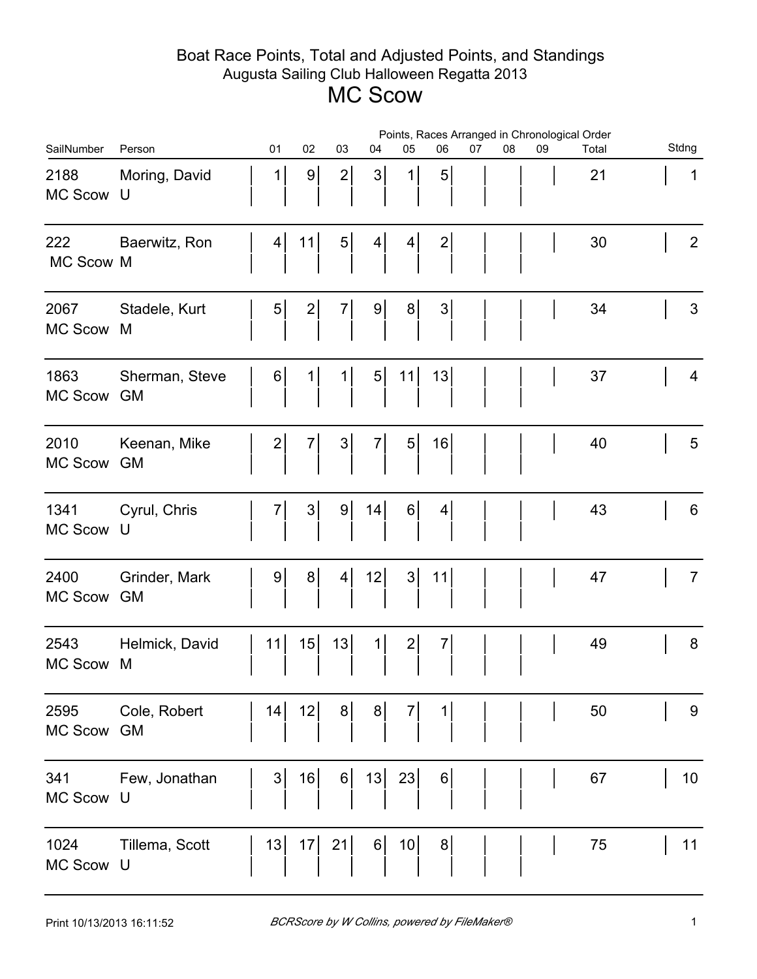## Boat Race Points, Total and Adjusted Points, and Standings Augusta Sailing Club Halloween Regatta 2013 MC Scow

|                        |                             | Points, Races Arranged in Chronological Order |                 |                |                |                |                 |                |    |    |    |       |  |                 |
|------------------------|-----------------------------|-----------------------------------------------|-----------------|----------------|----------------|----------------|-----------------|----------------|----|----|----|-------|--|-----------------|
| SailNumber             | Person                      |                                               | 01              | 02             | 03             | 04             | 05              | 06             | 07 | 08 | 09 | Total |  | Stdng           |
| 2188<br>MC Scow        | Moring, David<br>U          |                                               | $\mathbf 1$     | 9              | $\mathbf{2}$   | 3              | 1               | 5              |    |    |    | 21    |  | $\mathbf 1$     |
| 222<br>MC Scow M       | Baerwitz, Ron               |                                               | 4 <sup>1</sup>  | 11             | $5\vert$       | 4              | $\vert 4 \vert$ | $\mathbf{2}$   |    |    |    | 30    |  | $\overline{2}$  |
| 2067<br><b>MC Scow</b> | Stadele, Kurt<br>M          |                                               | $\vert 5 \vert$ | $\mathbf{2}$   | $\overline{7}$ | 9 <sup>1</sup> | 8 <sup>1</sup>  | $\mathfrak{S}$ |    |    |    | 34    |  | 3               |
| 1863<br><b>MC Scow</b> | Sherman, Steve<br><b>GM</b> |                                               | 6               | 1              | 1              | 5 <sup>1</sup> | 11              | 13             |    |    |    | 37    |  | 4               |
| 2010<br>MC Scow        | Keenan, Mike<br><b>GM</b>   |                                               | $2\vert$        | $7\vert$       | $3\vert$       | $7\vert$       | $5\vert$        | 16             |    |    |    | 40    |  | $5\phantom{.0}$ |
| 1341<br>MC Scow        | Cyrul, Chris<br>U           |                                               | $7\vert$        | 3 <sup>1</sup> | 9              | 14             | $6 \mid$        | 4 <sup>1</sup> |    |    |    | 43    |  | 6               |
| 2400<br>MC Scow        | Grinder, Mark<br><b>GM</b>  |                                               | $9 \mid$        | 8 <sup>1</sup> | 4              | 12             | $3\vert$        | 11             |    |    |    | 47    |  | $\overline{7}$  |
| 2543<br><b>MC Scow</b> | Helmick, David<br>M         |                                               | 11              | 15             | 13             | 1              | $2\vert$        | $\overline{7}$ |    |    |    | 49    |  | 8               |
| 2595<br>MC Scow        | Cole, Robert<br><b>GM</b>   |                                               | 14              | 12             | 8 <sup>2</sup> | 8              | $\overline{7}$  | 1              |    |    |    | 50    |  | 9               |
| 341<br>MC Scow         | Few, Jonathan<br>U          |                                               | 3 <sup>1</sup>  | 16             | $6 \mid$       | 13             | 23              | 6              |    |    |    | 67    |  | 10              |
| 1024<br>MC Scow U      | Tillema, Scott              |                                               | 13              | 17             | 21             | $6 \mid$       | 10              | 8              |    |    |    | 75    |  | 11              |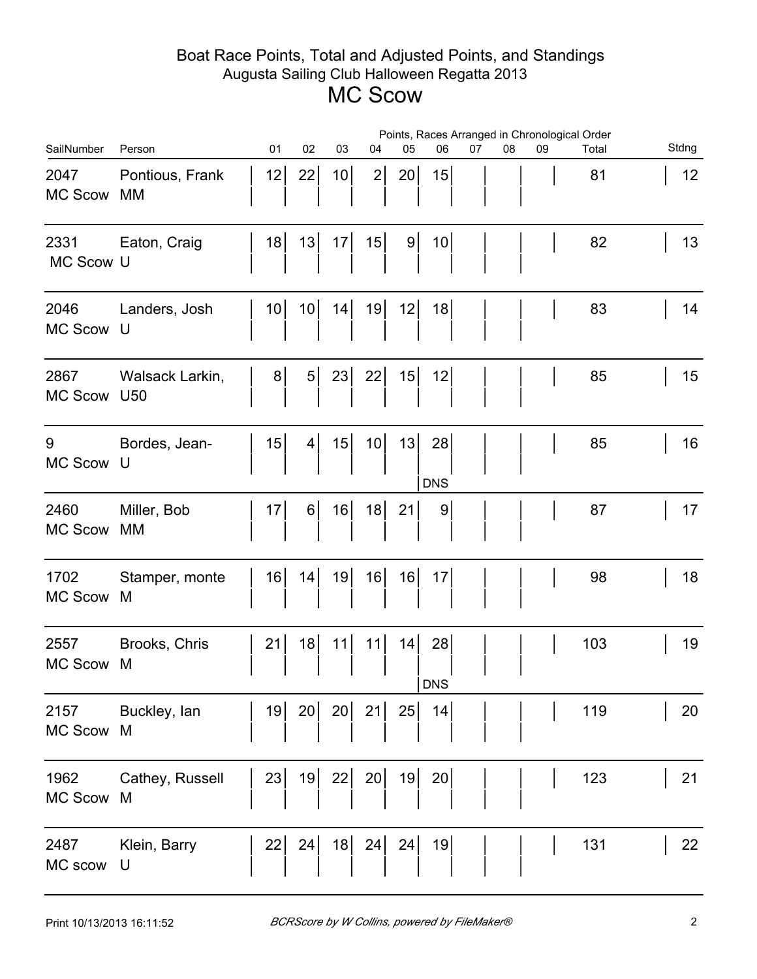## Boat Race Points, Total and Adjusted Points, and Standings Augusta Sailing Club Halloween Regatta 2013 MC Scow

|                        |                                    | Points, Races Arranged in Chronological Order |    |                 |    |                |                  |    |    |    |       |       |
|------------------------|------------------------------------|-----------------------------------------------|----|-----------------|----|----------------|------------------|----|----|----|-------|-------|
| SailNumber             | Person                             | 01                                            | 02 | 03              | 04 | 05             | 06               | 07 | 08 | 09 | Total | Stdng |
| 2047<br><b>MC Scow</b> | Pontious, Frank<br>МM              | 12                                            | 22 | 10 <sup>1</sup> | 2  | 20             | 15               |    |    |    | 81    | 12    |
| 2331<br>MC Scow U      | Eaton, Craig                       | 18                                            |    | 13  17          | 15 | 9 <sub>l</sub> | 10               |    |    |    | 82    | 13    |
| 2046<br>MC Scow        | Landers, Josh<br>U                 | 10 <sup>1</sup>                               | 10 | 14              | 19 | 12             | 18               |    |    |    | 83    | 14    |
| 2867<br>MC Scow        | Walsack Larkin,<br>U <sub>50</sub> |                                               | 8  | $5$ 23          | 22 | 15             | 12               |    |    |    | 85    | 15    |
| 9<br>MC Scow           | Bordes, Jean-<br>U                 | 15                                            | 4  | 15              | 10 | 13             | 28<br><b>DNS</b> |    |    |    | 85    | 16    |
| 2460<br><b>MC Scow</b> | Miller, Bob<br>МM                  | 17                                            | 6  | 16              | 18 | 21             | $\overline{9}$   |    |    |    | 87    | 17    |
| 1702<br><b>MC Scow</b> | Stamper, monte<br>M                | 16                                            | 14 | 19              | 16 | 16             | 17               |    |    |    | 98    | 18    |
| 2557<br>MC Scow        | Brooks, Chris<br>M                 | 21                                            | 18 | 11              | 11 | 14             | 28<br><b>DNS</b> |    |    |    | 103   | 19    |
| 2157<br><b>MC Scow</b> | Buckley, lan<br>M                  | 19                                            | 20 | 20              | 21 | 25             | 14               |    |    |    | 119   | 20    |
| 1962<br><b>MC Scow</b> | Cathey, Russell<br>M               | 23                                            | 19 | 22              | 20 | 19             | 20               |    |    |    | 123   | 21    |
| 2487<br>MC scow        | Klein, Barry<br>U                  | 22                                            | 24 | 18              | 24 | 24             | 19               |    |    |    | 131   | 22    |